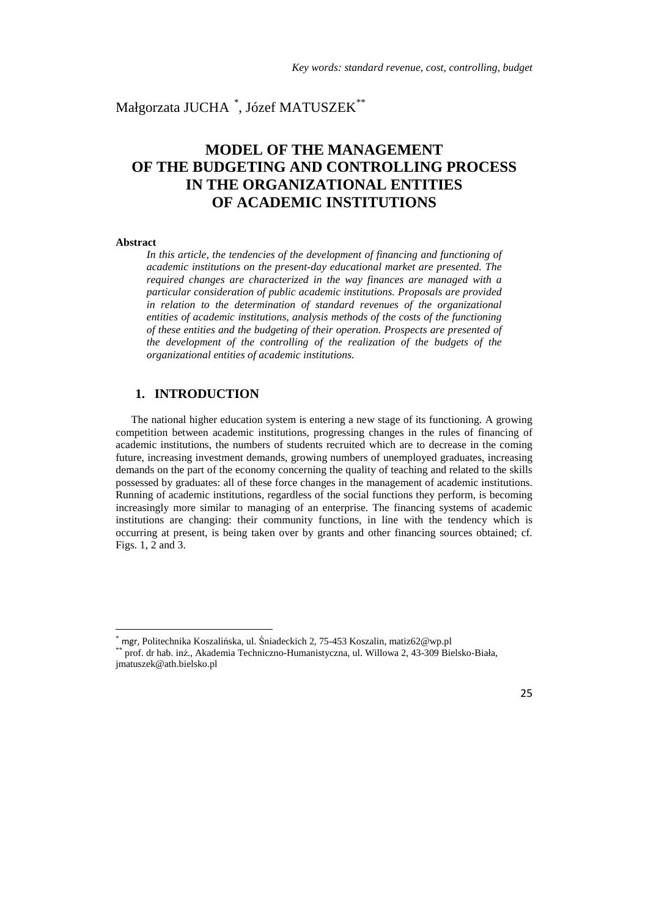# Małgorzata JUCHA  $\degree,$  Józef MATUSZEK $^{**}$

# **MODEL OF THE MANAGEMENT OF THE BUDGETING AND CONTROLLING PROCESS IN THE ORGANIZATIONAL ENTITIES OF ACADEMIC INSTITUTIONS**

#### **Abstract**

 $\overline{a}$ 

*In this article, the tendencies of the development of financing and functioning of academic institutions on the present-day educational market are presented. The required changes are characterized in the way finances are managed with a particular consideration of public academic institutions. Proposals are provided in relation to the determination of standard revenues of the organizational entities of academic institutions, analysis methods of the costs of the functioning of these entities and the budgeting of their operation. Prospects are presented of the development of the controlling of the realization of the budgets of the organizational entities of academic institutions.* 

### **1. INTRODUCTION**

The national higher education system is entering a new stage of its functioning. A growing competition between academic institutions, progressing changes in the rules of financing of academic institutions, the numbers of students recruited which are to decrease in the coming future, increasing investment demands, growing numbers of unemployed graduates, increasing demands on the part of the economy concerning the quality of teaching and related to the skills possessed by graduates: all of these force changes in the management of academic institutions. Running of academic institutions, regardless of the social functions they perform, is becoming increasingly more similar to managing of an enterprise. The financing systems of academic institutions are changing: their community functions, in line with the tendency which is occurring at present, is being taken over by grants and other financing sources obtained; cf. Figs. 1, 2 and 3.

<sup>\*</sup> mgr, Politechnika Koszalińska, ul. Śniadeckich 2, 75-453 Koszalin, matiz62@wp.pl

<sup>\*\*</sup> prof. dr hab. inż., Akademia Techniczno-Humanistyczna, ul. Willowa 2, 43-309 Bielsko-Biała, jmatuszek@ath.bielsko.pl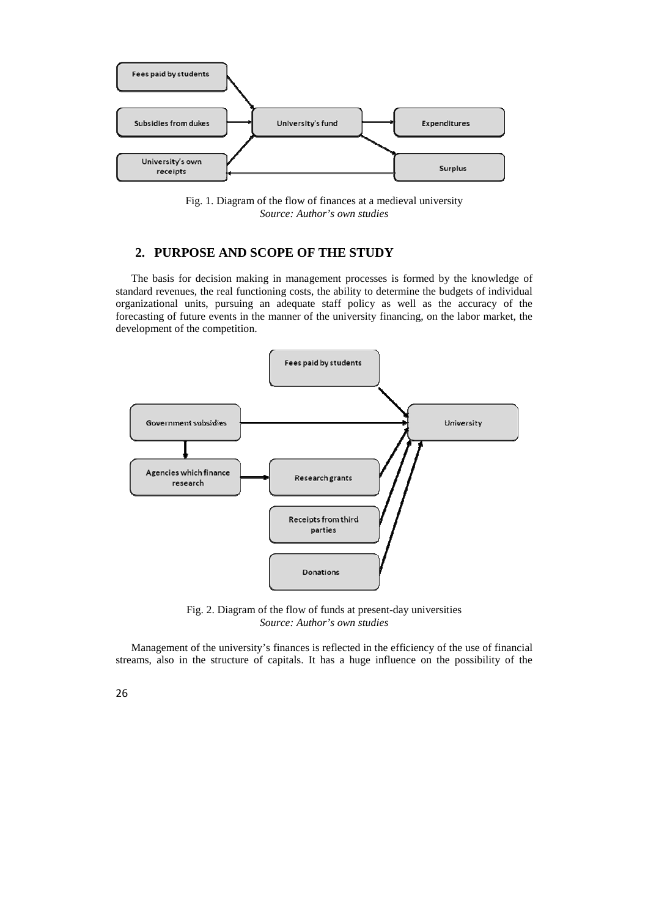

Fig. 1. Diagram of the flow of finances at a medieval university *Source: Author's own studies* 

## **2. PURPOSE AND SCOPE OF THE STUDY**

The basis for decision making in management processes is formed by the knowledge of standard revenues, the real functioning costs, the ability to determine the budgets of individual organizational units, pursuing an adequate staff policy as well as the accuracy of the forecasting of future events in the manner of the university financing, on the labor market, the development of the competition.



Fig. 2. Diagram of the flow of funds at present-day universities *Source: Author's own studies* 

Management of the university's finances is reflected in the efficiency of the use of financial streams, also in the structure of capitals. It has a huge influence on the possibility of the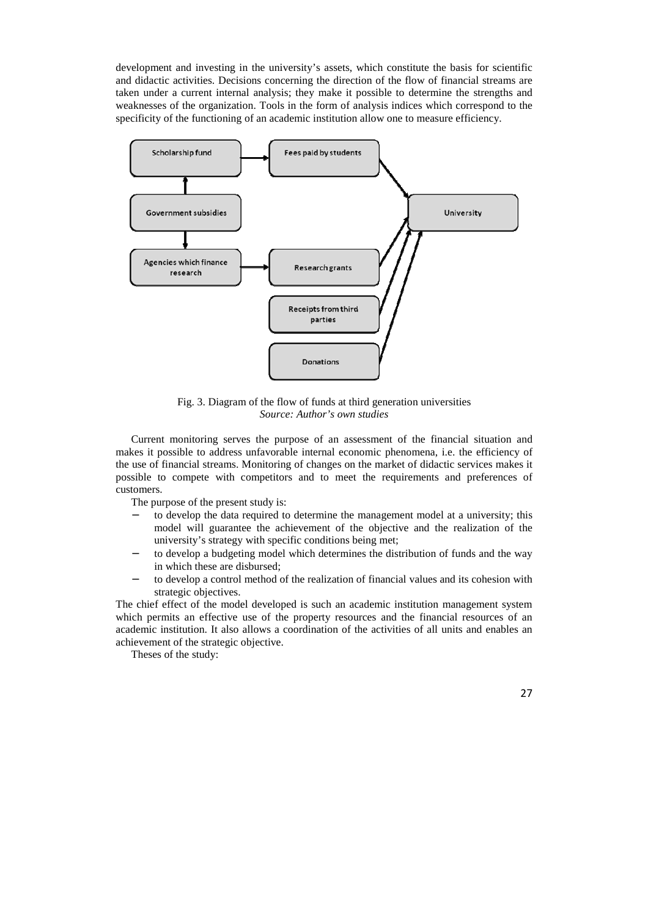development and investing in the university's assets, which constitute the basis for scientific and didactic activities. Decisions concerning the direction of the flow of financial streams are taken under a current internal analysis; they make it possible to determine the strengths and weaknesses of the organization. Tools in the form of analysis indices which correspond to the specificity of the functioning of an academic institution allow one to measure efficiency.



Fig. 3. Diagram of the flow of funds at third generation universities *Source: Author's own studies* 

Current monitoring serves the purpose of an assessment of the financial situation and makes it possible to address unfavorable internal economic phenomena, i.e. the efficiency of the use of financial streams. Monitoring of changes on the market of didactic services makes it possible to compete with competitors and to meet the requirements and preferences of customers.

The purpose of the present study is:

- to develop the data required to determine the management model at a university; this model will guarantee the achievement of the objective and the realization of the university's strategy with specific conditions being met;
- to develop a budgeting model which determines the distribution of funds and the way in which these are disbursed;
- to develop a control method of the realization of financial values and its cohesion with strategic objectives.

The chief effect of the model developed is such an academic institution management system which permits an effective use of the property resources and the financial resources of an academic institution. It also allows a coordination of the activities of all units and enables an achievement of the strategic objective.

Theses of the study: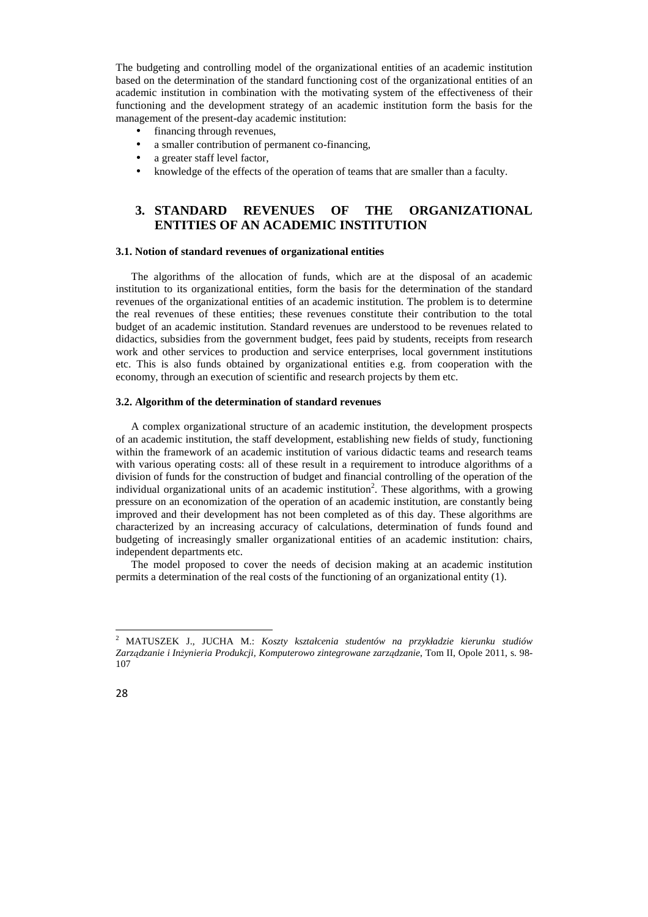The budgeting and controlling model of the organizational entities of an academic institution based on the determination of the standard functioning cost of the organizational entities of an academic institution in combination with the motivating system of the effectiveness of their functioning and the development strategy of an academic institution form the basis for the management of the present-day academic institution:

- financing through revenues,
- a smaller contribution of permanent co-financing,
- a greater staff level factor,
- knowledge of the effects of the operation of teams that are smaller than a faculty.

### **3. STANDARD REVENUES OF THE ORGANIZATIONAL ENTITIES OF AN ACADEMIC INSTITUTION**

#### **3.1. Notion of standard revenues of organizational entities**

The algorithms of the allocation of funds, which are at the disposal of an academic institution to its organizational entities, form the basis for the determination of the standard revenues of the organizational entities of an academic institution. The problem is to determine the real revenues of these entities; these revenues constitute their contribution to the total budget of an academic institution. Standard revenues are understood to be revenues related to didactics, subsidies from the government budget, fees paid by students, receipts from research work and other services to production and service enterprises, local government institutions etc. This is also funds obtained by organizational entities e.g. from cooperation with the economy, through an execution of scientific and research projects by them etc.

#### **3.2. Algorithm of the determination of standard revenues**

A complex organizational structure of an academic institution, the development prospects of an academic institution, the staff development, establishing new fields of study, functioning within the framework of an academic institution of various didactic teams and research teams with various operating costs: all of these result in a requirement to introduce algorithms of a division of funds for the construction of budget and financial controlling of the operation of the individual organizational units of an academic institution<sup>2</sup>. These algorithms, with a growing pressure on an economization of the operation of an academic institution, are constantly being improved and their development has not been completed as of this day. These algorithms are characterized by an increasing accuracy of calculations, determination of funds found and budgeting of increasingly smaller organizational entities of an academic institution: chairs, independent departments etc.

The model proposed to cover the needs of decision making at an academic institution permits a determination of the real costs of the functioning of an organizational entity (1).

l

<sup>2</sup> MATUSZEK J., JUCHA M.: *Koszty kształcenia studentów na przykładzie kierunku studiów Zarządzanie i Inżynieria Produkcji, Komputerowo zintegrowane zarządzanie*, Tom II, Opole 2011, s. 98- 107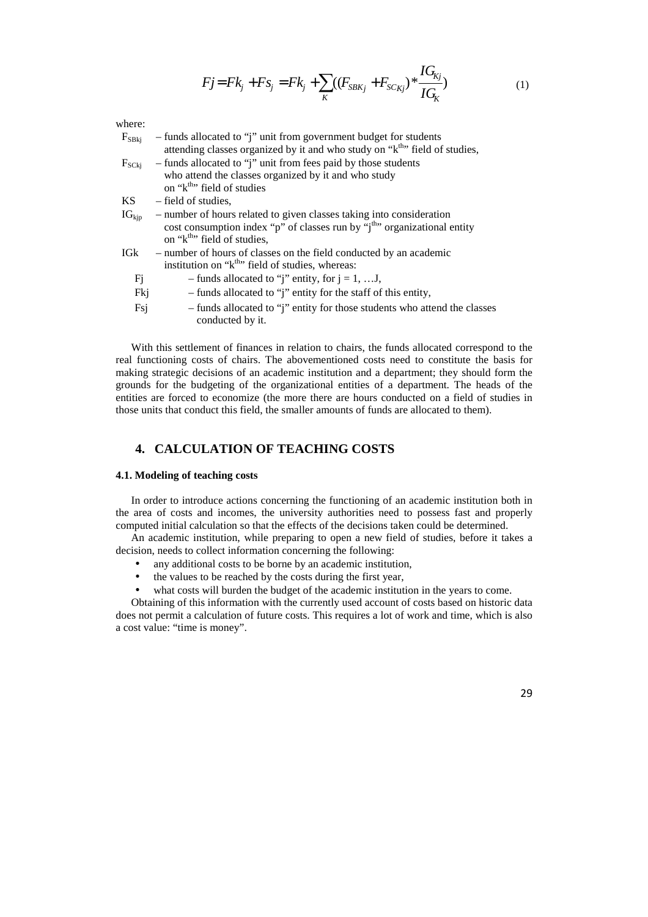$$
Fj = Fk_j + Fs_j = Fk_j + \sum_{K} ((F_{SBKj} + F_{SCKj})^* \frac{IG_{Kj}}{IG_K})
$$
\n(1)

where:

| $F_{SBkj}$        | - funds allocated to "j" unit from government budget for students<br>attending classes organized by it and who study on "k <sup>th</sup> " field of studies, |  |  |  |  |  |  |
|-------------------|--------------------------------------------------------------------------------------------------------------------------------------------------------------|--|--|--|--|--|--|
| $F_{SCKi}$        | - funds allocated to "j" unit from fees paid by those students                                                                                               |  |  |  |  |  |  |
|                   | who attend the classes organized by it and who study                                                                                                         |  |  |  |  |  |  |
|                   | on "k <sup>th</sup> " field of studies                                                                                                                       |  |  |  |  |  |  |
| KS.               | – field of studies,                                                                                                                                          |  |  |  |  |  |  |
| $IG_{\text{kip}}$ | - number of hours related to given classes taking into consideration                                                                                         |  |  |  |  |  |  |
|                   | cost consumption index "p" of classes run by "j <sup>th</sup> " organizational entity                                                                        |  |  |  |  |  |  |
|                   | on "k <sup>th</sup> " field of studies,                                                                                                                      |  |  |  |  |  |  |
| IG <sub>k</sub>   | - number of hours of classes on the field conducted by an academic                                                                                           |  |  |  |  |  |  |
|                   | institution on "k <sup>th</sup> " field of studies, whereas:                                                                                                 |  |  |  |  |  |  |
| Fj                | - funds allocated to "j" entity, for $j = 1, \ldots J$ ,                                                                                                     |  |  |  |  |  |  |
| Fkj               | - funds allocated to "j" entity for the staff of this entity,                                                                                                |  |  |  |  |  |  |
| Fsj               | - funds allocated to "j" entity for those students who attend the classes<br>conducted by it.                                                                |  |  |  |  |  |  |
|                   |                                                                                                                                                              |  |  |  |  |  |  |

With this settlement of finances in relation to chairs, the funds allocated correspond to the real functioning costs of chairs. The abovementioned costs need to constitute the basis for making strategic decisions of an academic institution and a department; they should form the grounds for the budgeting of the organizational entities of a department. The heads of the entities are forced to economize (the more there are hours conducted on a field of studies in those units that conduct this field, the smaller amounts of funds are allocated to them).

### **4. CALCULATION OF TEACHING COSTS**

#### **4.1. Modeling of teaching costs**

In order to introduce actions concerning the functioning of an academic institution both in the area of costs and incomes, the university authorities need to possess fast and properly computed initial calculation so that the effects of the decisions taken could be determined.

An academic institution, while preparing to open a new field of studies, before it takes a decision, needs to collect information concerning the following:

- any additional costs to be borne by an academic institution,
- the values to be reached by the costs during the first year,

what costs will burden the budget of the academic institution in the years to come.

Obtaining of this information with the currently used account of costs based on historic data does not permit a calculation of future costs. This requires a lot of work and time, which is also a cost value: "time is money".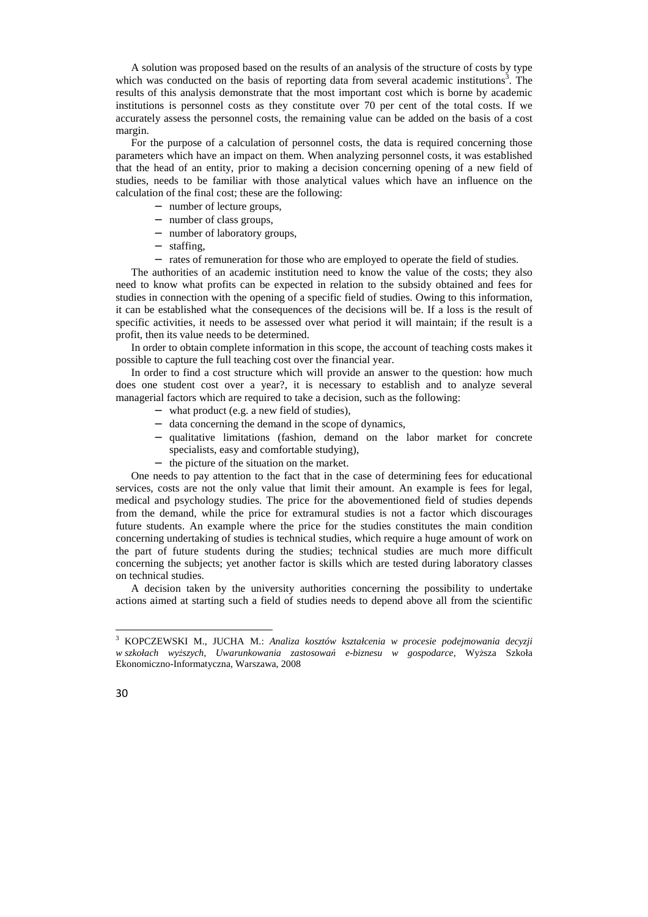A solution was proposed based on the results of an analysis of the structure of costs by type which was conducted on the basis of reporting data from several academic institutions<sup>3</sup>. The results of this analysis demonstrate that the most important cost which is borne by academic institutions is personnel costs as they constitute over 70 per cent of the total costs. If we accurately assess the personnel costs, the remaining value can be added on the basis of a cost margin.

For the purpose of a calculation of personnel costs, the data is required concerning those parameters which have an impact on them. When analyzing personnel costs, it was established that the head of an entity, prior to making a decision concerning opening of a new field of studies, needs to be familiar with those analytical values which have an influence on the calculation of the final cost; these are the following:

- − number of lecture groups,
- − number of class groups,
- − number of laboratory groups,
- − staffing,
- − rates of remuneration for those who are employed to operate the field of studies.

The authorities of an academic institution need to know the value of the costs; they also need to know what profits can be expected in relation to the subsidy obtained and fees for studies in connection with the opening of a specific field of studies. Owing to this information, it can be established what the consequences of the decisions will be. If a loss is the result of specific activities, it needs to be assessed over what period it will maintain; if the result is a profit, then its value needs to be determined.

In order to obtain complete information in this scope, the account of teaching costs makes it possible to capture the full teaching cost over the financial year.

In order to find a cost structure which will provide an answer to the question: how much does one student cost over a year?, it is necessary to establish and to analyze several managerial factors which are required to take a decision, such as the following:

- − what product (e.g. a new field of studies),
- − data concerning the demand in the scope of dynamics,
- − qualitative limitations (fashion, demand on the labor market for concrete specialists, easy and comfortable studying),
- − the picture of the situation on the market.

One needs to pay attention to the fact that in the case of determining fees for educational services, costs are not the only value that limit their amount. An example is fees for legal, medical and psychology studies. The price for the abovementioned field of studies depends from the demand, while the price for extramural studies is not a factor which discourages future students. An example where the price for the studies constitutes the main condition concerning undertaking of studies is technical studies, which require a huge amount of work on the part of future students during the studies; technical studies are much more difficult concerning the subjects; yet another factor is skills which are tested during laboratory classes on technical studies.

A decision taken by the university authorities concerning the possibility to undertake actions aimed at starting such a field of studies needs to depend above all from the scientific

l

<sup>3</sup> KOPCZEWSKI M., JUCHA M.: *Analiza kosztów kształcenia w procesie podejmowania decyzji w szkołach wyższych, Uwarunkowania zastosowań e-biznesu w gospodarce,* Wyższa Szkoła Ekonomiczno-Informatyczna, Warszawa, 2008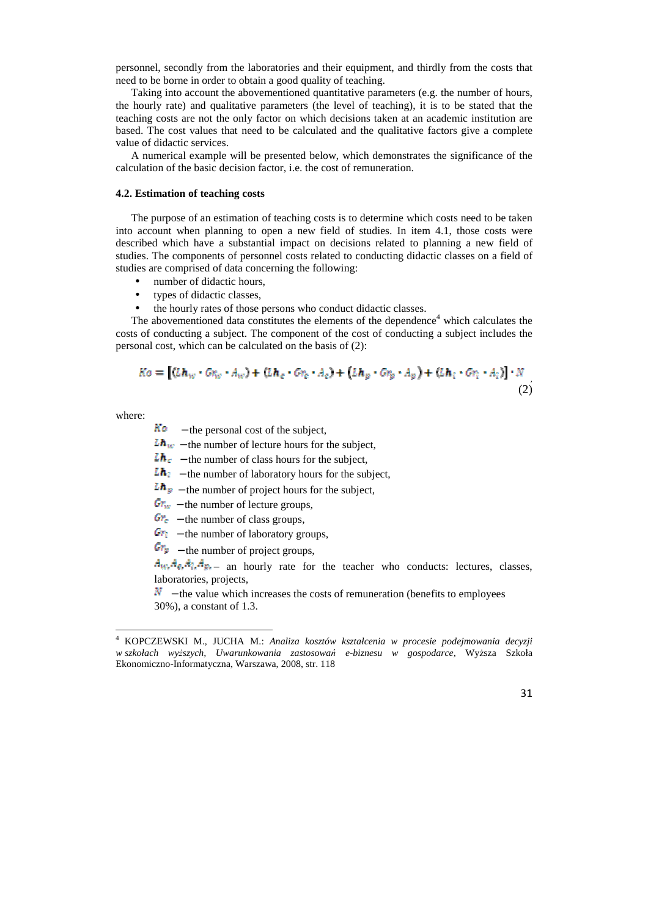personnel, secondly from the laboratories and their equipment, and thirdly from the costs that need to be borne in order to obtain a good quality of teaching.

Taking into account the abovementioned quantitative parameters (e.g. the number of hours, the hourly rate) and qualitative parameters (the level of teaching), it is to be stated that the teaching costs are not the only factor on which decisions taken at an academic institution are based. The cost values that need to be calculated and the qualitative factors give a complete value of didactic services.

A numerical example will be presented below, which demonstrates the significance of the calculation of the basic decision factor, i.e. the cost of remuneration.

#### **4.2. Estimation of teaching costs**

The purpose of an estimation of teaching costs is to determine which costs need to be taken into account when planning to open a new field of studies. In item 4.1, those costs were described which have a substantial impact on decisions related to planning a new field of studies. The components of personnel costs related to conducting didactic classes on a field of studies are comprised of data concerning the following:

- number of didactic hours.
- types of didactic classes,
- the hourly rates of those persons who conduct didactic classes.

The abovementioned data constitutes the elements of the dependence $4$  which calculates the costs of conducting a subject. The component of the cost of conducting a subject includes the personal cost, which can be calculated on the basis of (2):

$$
Ko = \left[ (Lh_w \cdot Gr_w \cdot A_w) + (Lh_c \cdot Gr_c \cdot A_c) + (Lh_p \cdot Gr_p \cdot A_p) + (Lh_i \cdot Gr_i \cdot A_i) \right] \cdot N
$$
\n(2)

where:

l

 $K\omega$  – the personal cost of the subject,

 $\mathbf{L}\mathbf{h}_{w}$  – the number of lecture hours for the subject,

 $\mathbf{L}\mathbf{h}_{\varepsilon}$  – the number of class hours for the subject,

 **– the number of laboratory hours for the subject,** 

 $\mathbf{L}\mathbf{h}_{\mathbf{F}}$  – the number of project hours for the subject,

 $\mathbf{C}_{\mathbf{u}v}$  – the number of lecture groups,

 $\mathbf{Gr}_{\epsilon}$  – the number of class groups,

 $G_{\text{F}}$  – the number of laboratory groups,

 $G_{\mathbb{F}}$  – the number of project groups,

 $A_w$ ,  $A_z$ ,  $A_z$ ,  $A_w$ ,  $A_w$ ,  $A_w$ ,  $A_w$ ,  $A_w$ ,  $A_w$ ,  $A_w$ ,  $A_w$ ,  $A_w$ ,  $A_w$ ,  $A_w$ ,  $A_w$ ,  $A_w$ ,  $A_w$ ,  $A_w$ ,  $A_w$ ,  $A_w$ ,  $A_w$ ,  $A_w$ ,  $A_w$ ,  $A_w$ ,  $A_w$ ,  $A_w$ ,  $A_w$ ,  $A_w$ ,  $A_w$ ,  $A_w$ ,  $A_w$ ,  $A_w$ ,  $A_w$ ,  $A_w$ ,  $A_w$ ,  $A_w$ ,  $A_w$ , laboratories, projects,

 $\mathbf{N}$  – the value which increases the costs of remuneration (benefits to employees 30%), a constant of 1.3.

<sup>4</sup> KOPCZEWSKI M., JUCHA M.: *Analiza kosztów kształcenia w procesie podejmowania decyzji w szkołach wyższych, Uwarunkowania zastosowań e-biznesu w gospodarce,* Wyższa Szkoła Ekonomiczno-Informatyczna, Warszawa, 2008, str. 118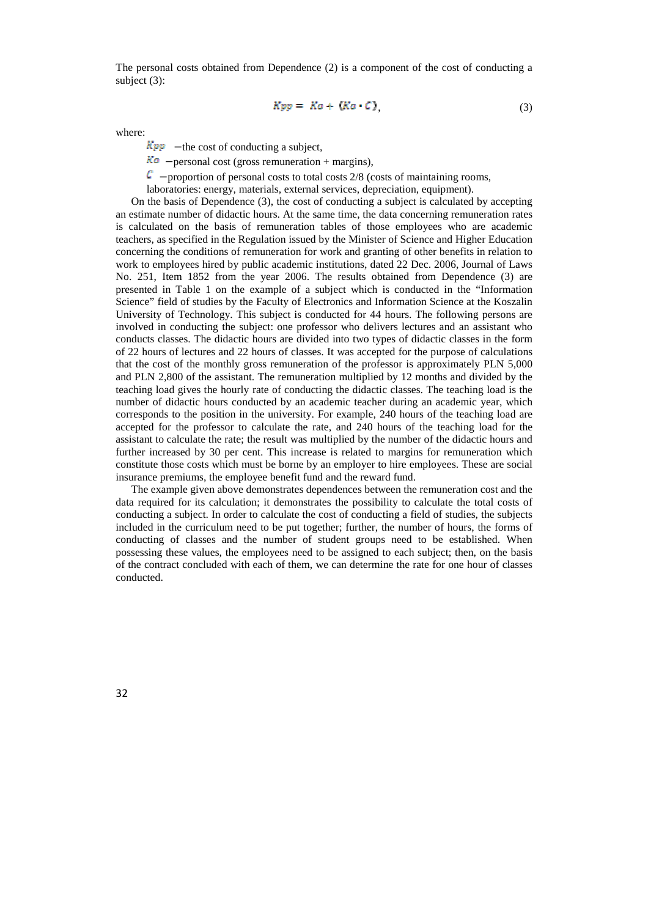The personal costs obtained from Dependence (2) is a component of the cost of conducting a subject (3):

$$
Kpp = Ko + (Ko \cdot C), \tag{3}
$$

where:

 $Kpp$  – the cost of conducting a subject,

 $K_0$  – personal cost (gross remuneration + margins),

 $\mathbb{C}$  – proportion of personal costs to total costs 2/8 (costs of maintaining rooms,

laboratories: energy, materials, external services, depreciation, equipment).

On the basis of Dependence (3), the cost of conducting a subject is calculated by accepting an estimate number of didactic hours. At the same time, the data concerning remuneration rates is calculated on the basis of remuneration tables of those employees who are academic teachers, as specified in the Regulation issued by the Minister of Science and Higher Education concerning the conditions of remuneration for work and granting of other benefits in relation to work to employees hired by public academic institutions, dated 22 Dec. 2006, Journal of Laws No. 251, Item 1852 from the year 2006. The results obtained from Dependence (3) are presented in Table 1 on the example of a subject which is conducted in the "Information Science" field of studies by the Faculty of Electronics and Information Science at the Koszalin University of Technology. This subject is conducted for 44 hours. The following persons are involved in conducting the subject: one professor who delivers lectures and an assistant who conducts classes. The didactic hours are divided into two types of didactic classes in the form of 22 hours of lectures and 22 hours of classes. It was accepted for the purpose of calculations that the cost of the monthly gross remuneration of the professor is approximately PLN 5,000 and PLN 2,800 of the assistant. The remuneration multiplied by 12 months and divided by the teaching load gives the hourly rate of conducting the didactic classes. The teaching load is the number of didactic hours conducted by an academic teacher during an academic year, which corresponds to the position in the university. For example, 240 hours of the teaching load are accepted for the professor to calculate the rate, and 240 hours of the teaching load for the assistant to calculate the rate; the result was multiplied by the number of the didactic hours and further increased by 30 per cent. This increase is related to margins for remuneration which constitute those costs which must be borne by an employer to hire employees. These are social insurance premiums, the employee benefit fund and the reward fund.

The example given above demonstrates dependences between the remuneration cost and the data required for its calculation; it demonstrates the possibility to calculate the total costs of conducting a subject. In order to calculate the cost of conducting a field of studies, the subjects included in the curriculum need to be put together; further, the number of hours, the forms of conducting of classes and the number of student groups need to be established. When possessing these values, the employees need to be assigned to each subject; then, on the basis of the contract concluded with each of them, we can determine the rate for one hour of classes conducted.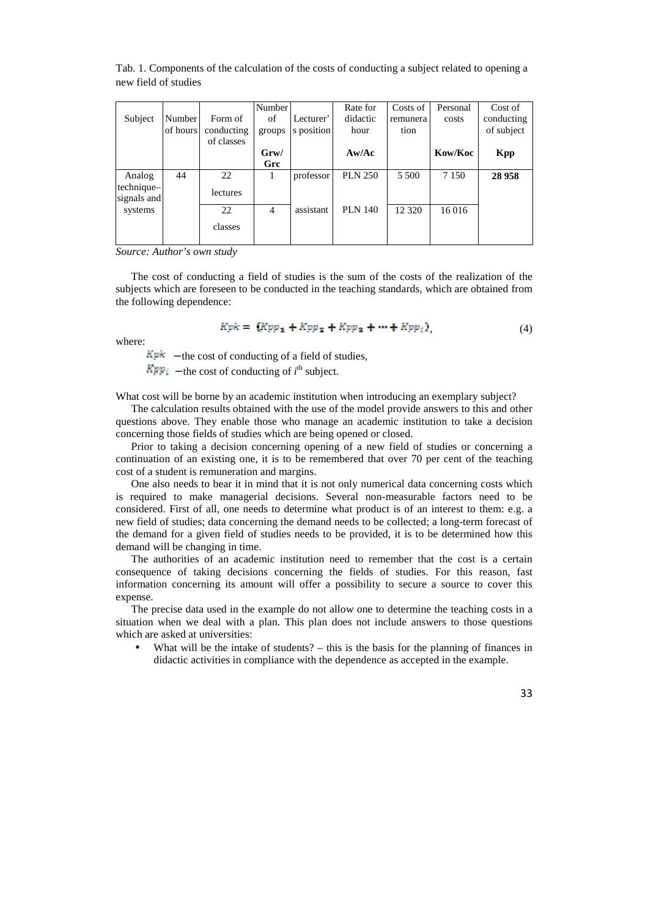|                           |          |            | Number           |            | Rate for       | Costs of | Personal | Cost of    |
|---------------------------|----------|------------|------------------|------------|----------------|----------|----------|------------|
| Subject                   | Number   | Form of    | of               | Lecturer'  | didactic       | remunera | costs    | conducting |
|                           | of hours | conducting | groups           | s position | hour           | tion     |          | of subject |
|                           |          | of classes |                  |            |                |          |          |            |
|                           |          |            | G <sub>rw/</sub> |            | Aw/Ac          |          | Kow/Koc  | <b>Kpp</b> |
|                           |          |            | Grc              |            |                |          |          |            |
| Analog                    | 44       | 22         |                  | professor  | <b>PLN 250</b> | 5 500    | 7 1 5 0  | 28 9 58    |
| technique-<br>signals and |          | lectures   |                  |            |                |          |          |            |
| systems                   |          | 22         | $\overline{4}$   | assistant  | <b>PLN 140</b> | 12 3 20  | 16 016   |            |
|                           |          | classes    |                  |            |                |          |          |            |

Tab. 1. Components of the calculation of the costs of conducting a subject related to opening a new field of studies

*Source: Author's own study* 

The cost of conducting a field of studies is the sum of the costs of the realization of the subjects which are foreseen to be conducted in the teaching standards, which are obtained from the following dependence:

$$
Kpk = (Kpp1 + Kpp2 + Kpp3 + \cdots + Kppi),
$$
\n(4)

where:

 $Kpk$  – the cost of conducting of a field of studies,

 $Kpp_i$  – the cost of conducting of  $i^{\text{th}}$  subject.

What cost will be borne by an academic institution when introducing an exemplary subject?

The calculation results obtained with the use of the model provide answers to this and other questions above. They enable those who manage an academic institution to take a decision concerning those fields of studies which are being opened or closed.

Prior to taking a decision concerning opening of a new field of studies or concerning a continuation of an existing one, it is to be remembered that over 70 per cent of the teaching cost of a student is remuneration and margins.

One also needs to bear it in mind that it is not only numerical data concerning costs which is required to make managerial decisions. Several non-measurable factors need to be considered. First of all, one needs to determine what product is of an interest to them: e.g. a new field of studies; data concerning the demand needs to be collected; a long-term forecast of the demand for a given field of studies needs to be provided, it is to be determined how this demand will be changing in time.

The authorities of an academic institution need to remember that the cost is a certain consequence of taking decisions concerning the fields of studies. For this reason, fast information concerning its amount will offer a possibility to secure a source to cover this expense.

The precise data used in the example do not allow one to determine the teaching costs in a situation when we deal with a plan. This plan does not include answers to those questions which are asked at universities:

What will be the intake of students? – this is the basis for the planning of finances in didactic activities in compliance with the dependence as accepted in the example.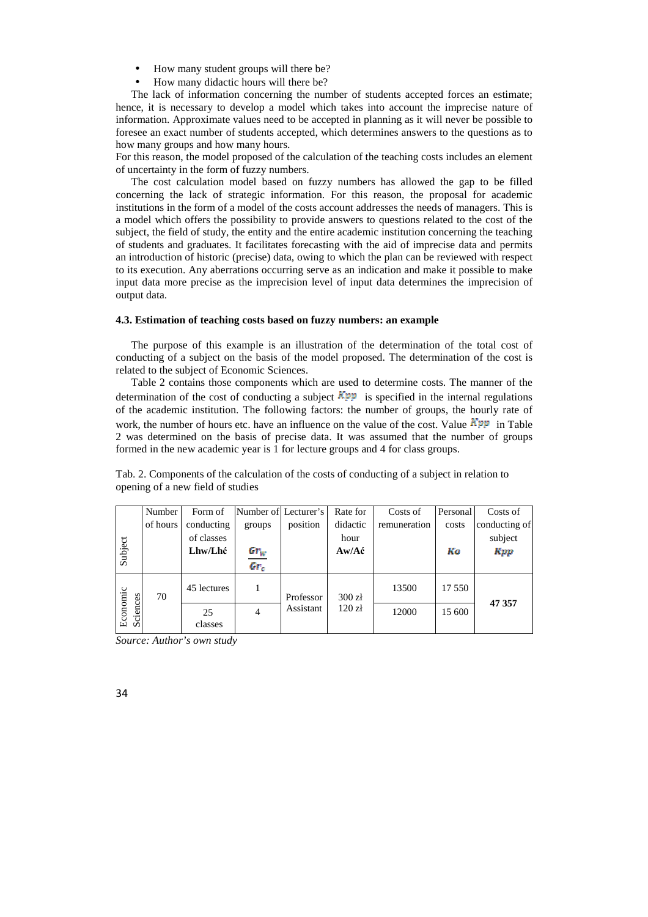- How many student groups will there be?
- How many didactic hours will there be?

The lack of information concerning the number of students accepted forces an estimate; hence, it is necessary to develop a model which takes into account the imprecise nature of information. Approximate values need to be accepted in planning as it will never be possible to foresee an exact number of students accepted, which determines answers to the questions as to how many groups and how many hours.

For this reason, the model proposed of the calculation of the teaching costs includes an element of uncertainty in the form of fuzzy numbers.

The cost calculation model based on fuzzy numbers has allowed the gap to be filled concerning the lack of strategic information. For this reason, the proposal for academic institutions in the form of a model of the costs account addresses the needs of managers. This is a model which offers the possibility to provide answers to questions related to the cost of the subject, the field of study, the entity and the entire academic institution concerning the teaching of students and graduates. It facilitates forecasting with the aid of imprecise data and permits an introduction of historic (precise) data, owing to which the plan can be reviewed with respect to its execution. Any aberrations occurring serve as an indication and make it possible to make input data more precise as the imprecision level of input data determines the imprecision of output data.

#### **4.3. Estimation of teaching costs based on fuzzy numbers: an example**

The purpose of this example is an illustration of the determination of the total cost of conducting of a subject on the basis of the model proposed. The determination of the cost is related to the subject of Economic Sciences.

Table 2 contains those components which are used to determine costs. The manner of the determination of the cost of conducting a subject  $\mathbb{K}^{\mathbb{R}}$  is specified in the internal regulations of the academic institution. The following factors: the number of groups, the hourly rate of work, the number of hours etc. have an influence on the value of the cost. Value  $\mathbf{KPP}$  in Table 2 was determined on the basis of precise data. It was assumed that the number of groups formed in the new academic year is 1 for lecture groups and 4 for class groups.

Tab. 2. Components of the calculation of the costs of conducting of a subject in relation to opening of a new field of studies

|                      | Number   | Form of       | Number of Lecturer's    |                        | Rate for                                 | Costs of     | Personal | Costs of      |
|----------------------|----------|---------------|-------------------------|------------------------|------------------------------------------|--------------|----------|---------------|
|                      | of hours | conducting    | groups                  | position               | didactic                                 | remuneration | costs    | conducting of |
|                      |          | of classes    |                         |                        | hour                                     |              |          | subject       |
| Subject              |          | Lhw/Lhć       |                         |                        | $Aw/A\acute{c}$                          |              | Kо       | Kpp           |
|                      |          |               | $\frac{Gr_{W}}{Gr_{c}}$ |                        |                                          |              |          |               |
| Economic<br>Sciences | 70       | 45 lectures   |                         | Professor<br>Assistant | 300 z <sub>t</sub><br>120 z <sub>i</sub> | 13500        | 17 550   | 47 357        |
|                      |          | 25<br>classes | $\overline{4}$          |                        |                                          | 12000        | 15 600   |               |

*Source: Author's own study*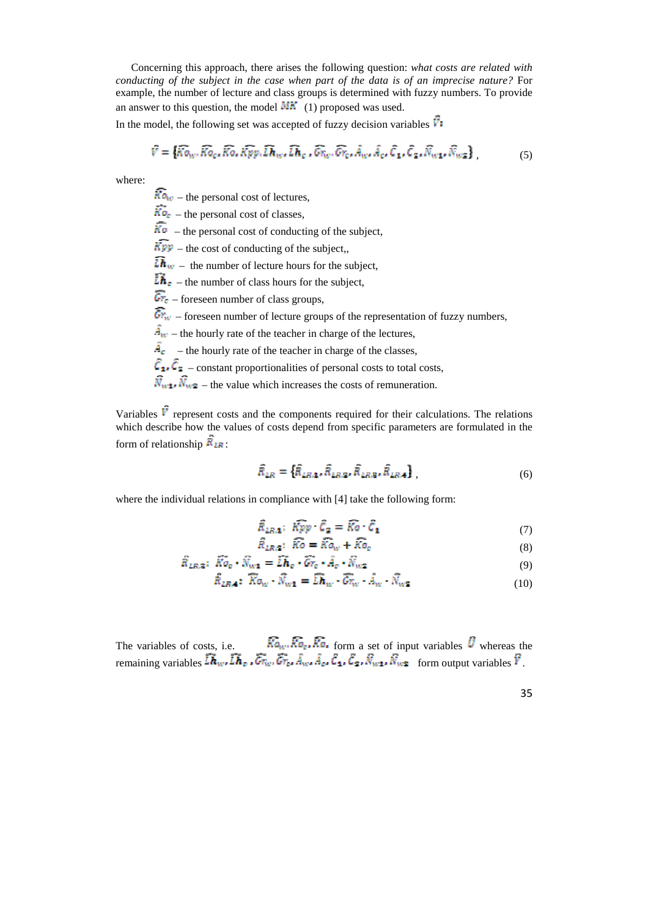Concerning this approach, there arises the following question: *what costs are related with conducting of the subject in the case when part of the data is of an imprecise nature?* For example, the number of lecture and class groups is determined with fuzzy numbers. To provide an answer to this question, the model  $MK(1)$  proposed was used.

In the model, the following set was accepted of fuzzy decision variables  $\vec{V}$ :

$$
\hat{V} = \{ \widehat{Ko}_{w}, \widehat{Ko}_{c}, \widehat{Ko}, \widehat{Kpo}, \widehat{Lh}_{w}, \widehat{Lh}_{c}, \widehat{Gv}_{w}, \widehat{Gv}_{c}, \widehat{A}_{w}, \widehat{A}_{c}, \widehat{C}_{1}, \widehat{C}_{2}, \widehat{N}_{w1}, \widehat{N}_{w2} \},
$$
(5)

where:

 $\widehat{ka}_{w}$  – the personal cost of lectures,

 $\overline{K}$ <sub> $\overline{O}_F$ </sub> – the personal cost of classes,

 $\overline{\text{K}\text{o}}$  – the personal cost of conducting of the subject,

 $\widehat{Kpp}$  – the cost of conducting of the subject,,

 $\widehat{\mathbf{L}\mathbf{h}}_{w}$  – the number of lecture hours for the subject,

 $\overline{\mathbf{L}} \cdot \mathbf{h}_{\epsilon}$  – the number of class hours for the subject.

 $\overline{Gr}_{\varepsilon}$  – foreseen number of class groups,

 $\widehat{G_{\mathcal{F}_{W}}}$  – foreseen number of lecture groups of the representation of fuzzy numbers,

 $\overline{A}_{w}$  – the hourly rate of the teacher in charge of the lectures,

 $\overline{A}_{\varepsilon}$  – the hourly rate of the teacher in charge of the classes,

 $\hat{\mathcal{C}}_1$ ,  $\hat{\mathcal{C}}_2$  – constant proportionalities of personal costs to total costs,

 $\widehat{N}_{w1}$ .  $\widehat{N}_{w2}$  – the value which increases the costs of remuneration.

Variables  $\vec{v}$  represent costs and the components required for their calculations. The relations which describe how the values of costs depend from specific parameters are formulated in the form of relationship  $\vec{R}_{LR}$ :

$$
\hat{R}_{LR} = \{ \hat{R}_{LR,1}, \hat{R}_{LR,2}, \hat{R}_{LR,3}, \hat{R}_{LR,4} \},
$$
\n(6)

where the individual relations in compliance with [4] take the following form:

$$
\hat{R}_{LR,\mathbf{1}}; \ \hat{K\varrho}\varrho \cdot \hat{C}_{\mathbf{2}} = \hat{K\varrho} \cdot \hat{C}_{\mathbf{1}} \tag{7}
$$

$$
R_{LR,2}: Ko = Ka_W + Ko_e \tag{8}
$$

$$
\vec{R}_{LR,2}: \ \vec{K}^{\circ}_{Q} \cdot \vec{N}_{w1} = \vec{L}\vec{h}_e \cdot \vec{Gr}_e \cdot \vec{A}_e \cdot \vec{N}_{w2}
$$
\n
$$
(9)
$$

$$
\overline{R}_{LR,4}: \overline{K}o_W \cdot \overline{N}_{W1} = \overline{L}\overline{h}_W \cdot \overline{G}_{\overline{W}} \cdot A_W \cdot \overline{N}_{W2}
$$
\n(10)

The variables of costs, i.e.  $\overline{Ka}_{\mu\nu} \overline{Ka}_{\varepsilon} \overline{Ka}_{\varepsilon}$  form a set of input variables  $\overline{U}$  whereas the remaining variables  $\overline{L}$ **h**<sub>e</sub>,  $\overline{C}$ <sub>n</sub>,  $\overline{C}$ <sub>n</sub>,  $\overline{A}$ <sub>w</sub>,  $\overline{A}$ <sub>e</sub>,  $\overline{C}$ <sub>1</sub>,  $\overline{C}$ <sub>1</sub>,  $\overline{C}$ <sub>1</sub>,  $\overline{C}$ <sub>1</sub>,  $\overline{C}$ <sub>1</sub>,  $\overline{N}$ <sub>w</sub><sub>1</sub>,  $\overline{N}$ <sub>w</sub><sub>1</sub> form output variables  $\overline{Y}$ .

35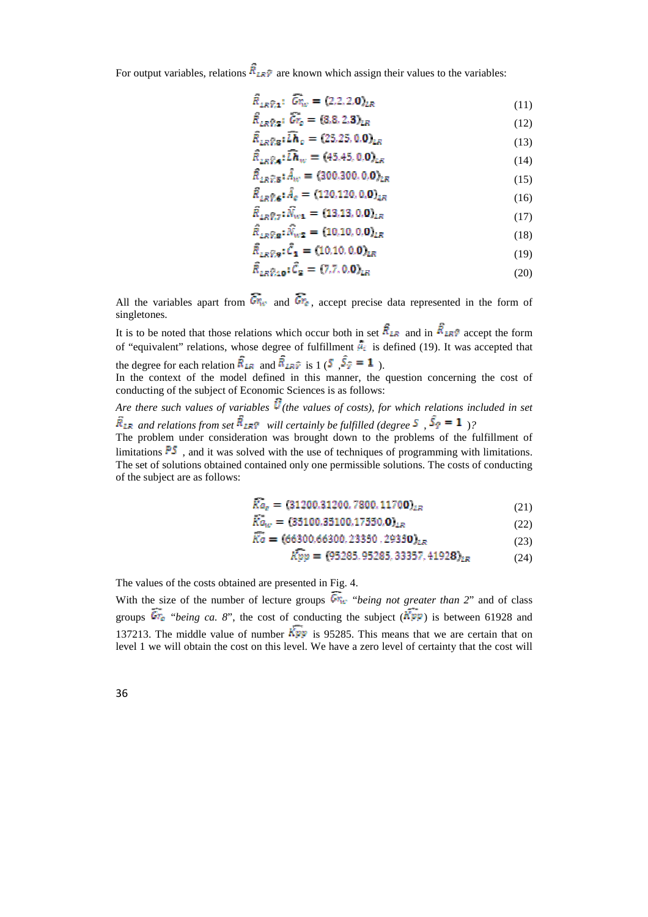For output variables, relations  $\vec{R}_{LR}$  are known which assign their values to the variables:

$$
\tilde{R}_{LR}\tilde{\gamma}_1: \tilde{Gr}_W = (2,2,2,0)_{LR}
$$
\n(11)

$$
\widehat{R}_{LR}\widehat{\gamma}_{2} : \widehat{Gr}_{c} = (3,8,2,3)_{LR}
$$
\n(12)

$$
\widehat{R}_{LR}\widehat{r}_{l\mathbf{a}}:\widehat{Lh}_{c}=(25,25,0,\mathbf{0})_{LR}
$$
\n(13)

$$
\widehat{R}_{LR}\widehat{\mathbf{r}}_{A}:\widehat{Lh}_{W} = (45.45, 0.0)_{LR}
$$
\n(14)

$$
\hat{R}_{LR}\hat{r}_{.5}:\hat{A}_{w} = (300.300, 0.0)_{LR}
$$
\n(15)

$$
R_{LR}\hat{\gamma}_6: A_c = (120.120, 0.0)_{LR}
$$
\n
$$
(16)
$$

$$
R_{LR}\hat{\gamma}_7 \colon N_{w1} = (13.13, 0.0)_{LR} \tag{17}
$$

$$
R_{LR}\hat{\mathbf{y}}_{\mathbf{S}};N_{w2} = (10,10,0,0)_{LR}
$$
 (18)

$$
\bar{R}_{LR}\hat{v}_{.9}:\bar{C}_1 = (10,10,0,0)_{LR}
$$
\n(19)

$$
R_{LR\hat{V},\mathbf{10}}; C_{\mathbf{2}} = (7.7, 0.0)_{LR}
$$
 (20)

All the variables apart from  $\widehat{Gr}_{\epsilon}$  and  $\widehat{Gr}_{\epsilon}$ , accept precise data represented in the form of singletones.

It is to be noted that those relations which occur both in set  $\vec{R}_{LR}$  and in  $\vec{R}_{LR}$  accept the form of "equivalent" relations, whose degree of fulfillment  $\hat{\mu}_i$  is defined (19). It was accepted that the degree for each relation  $\vec{R}_{LR}$  and  $\vec{R}_{LR}$  is 1 (5,  $\vec{S}_{\vec{r}} = 1$ ).

In the context of the model defined in this manner, the question concerning the cost of conducting of the subject of Economic Sciences is as follows:

*Are there such values of variables*  $\vec{u}$  (the values of costs), for which relations included in set *and relations from set*  $\mathbb{R}_{LR}$  *will certainly be fulfilled (degree*  $\mathbb{S}$ ,  $\mathbb{S}$   $\mathbb{F} = \mathbb{1}$ )?

The problem under consideration was brought down to the problems of the fulfillment of limitations  $\overline{PS}$ , and it was solved with the use of techniques of programming with limitations. The set of solutions obtained contained only one permissible solutions. The costs of conducting of the subject are as follows:

$$
\overline{Ko}_c = (31200.31200.7800.11700)_{LR}
$$
 (21)

$$
Ka_w = (35100.35100.17550.0)_{LR}
$$
 (22)

$$
\zeta_o = (66300.66300.23350.29350)_{LR} \tag{23}
$$

$$
Kpp = (95285, 95285, 33357, 41928)_{LR}
$$
 (24)

The values of the costs obtained are presented in Fig. 4.

With the size of the number of lecture groups  $\widehat{Gr}_{w}$  "*being not greater than 2*" and of class groups  $\overline{Gr}_{e}$  "*being ca. 8*", the cost of conducting the subject ( $\overline{Kpp}$ ) is between 61928 and 137213. The middle value of number  $\widehat{K_{PP}}$  is 95285. This means that we are certain that on level 1 we will obtain the cost on this level. We have a zero level of certainty that the cost will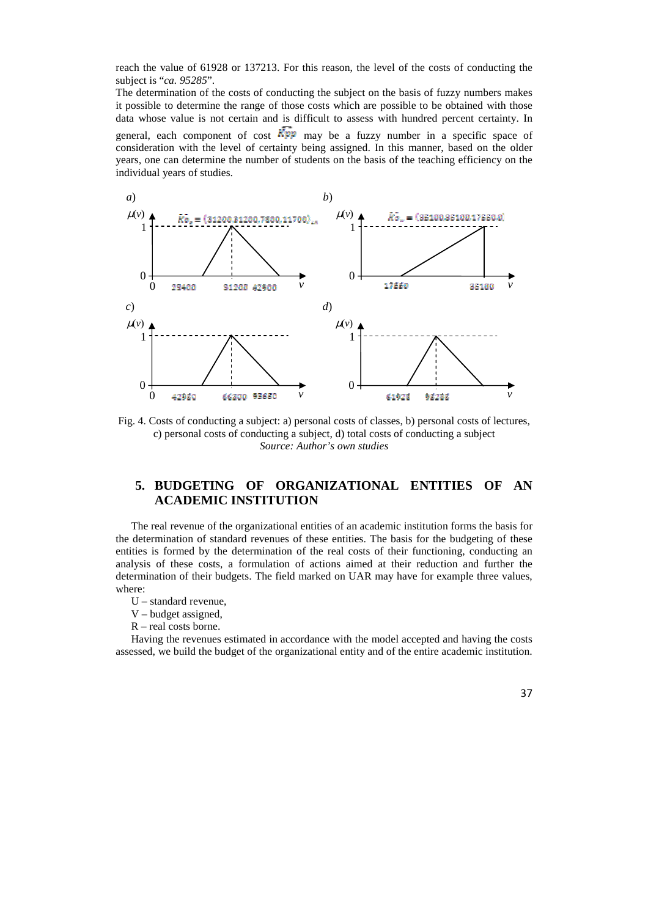reach the value of 61928 or 137213. For this reason, the level of the costs of conducting the subject is "*ca. 95285*".

The determination of the costs of conducting the subject on the basis of fuzzy numbers makes it possible to determine the range of those costs which are possible to be obtained with those data whose value is not certain and is difficult to assess with hundred percent certainty. In general, each component of cost  $\overline{Kpp}$  may be a fuzzy number in a specific space of consideration with the level of certainty being assigned. In this manner, based on the older years, one can determine the number of students on the basis of the teaching efficiency on the individual years of studies.



Fig. 4. Costs of conducting a subject: a) personal costs of classes, b) personal costs of lectures, c) personal costs of conducting a subject, d) total costs of conducting a subject *Source: Author's own studies* 

## **5. BUDGETING OF ORGANIZATIONAL ENTITIES OF AN ACADEMIC INSTITUTION**

The real revenue of the organizational entities of an academic institution forms the basis for the determination of standard revenues of these entities. The basis for the budgeting of these entities is formed by the determination of the real costs of their functioning, conducting an analysis of these costs, a formulation of actions aimed at their reduction and further the determination of their budgets. The field marked on UAR may have for example three values, where:

- U standard revenue,
- V budget assigned,
- R real costs borne.

Having the revenues estimated in accordance with the model accepted and having the costs assessed, we build the budget of the organizational entity and of the entire academic institution.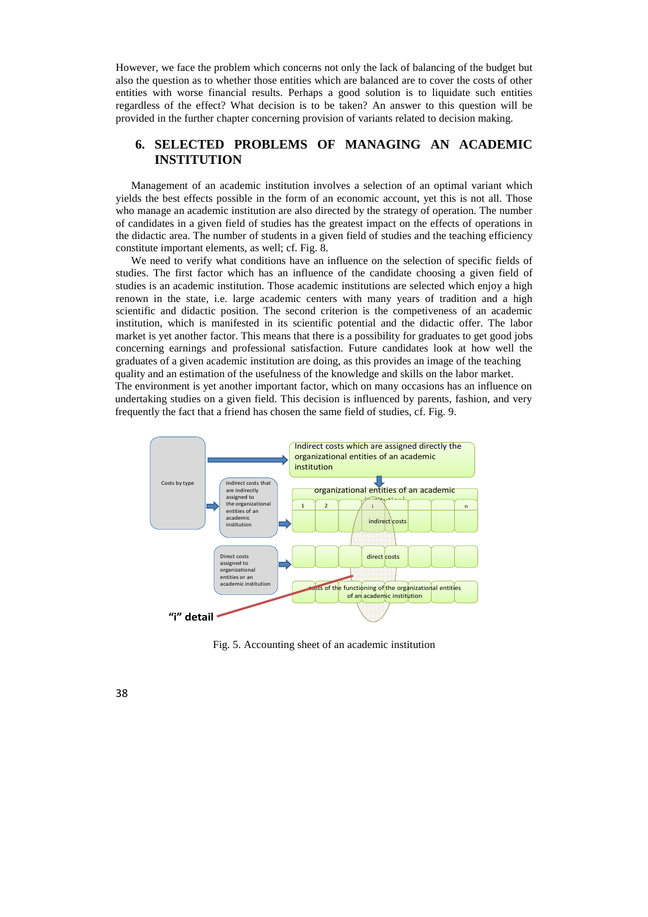However, we face the problem which concerns not only the lack of balancing of the budget but also the question as to whether those entities which are balanced are to cover the costs of other entities with worse financial results. Perhaps a good solution is to liquidate such entities regardless of the effect? What decision is to be taken? An answer to this question will be provided in the further chapter concerning provision of variants related to decision making.

### **6. SELECTED PROBLEMS OF MANAGING AN ACADEMIC INSTITUTION**

Management of an academic institution involves a selection of an optimal variant which yields the best effects possible in the form of an economic account, yet this is not all. Those who manage an academic institution are also directed by the strategy of operation. The number of candidates in a given field of studies has the greatest impact on the effects of operations in the didactic area. The number of students in a given field of studies and the teaching efficiency constitute important elements, as well; cf. Fig. 8.

We need to verify what conditions have an influence on the selection of specific fields of studies. The first factor which has an influence of the candidate choosing a given field of studies is an academic institution. Those academic institutions are selected which enjoy a high renown in the state, i.e. large academic centers with many years of tradition and a high scientific and didactic position. The second criterion is the competiveness of an academic institution, which is manifested in its scientific potential and the didactic offer. The labor market is yet another factor. This means that there is a possibility for graduates to get good jobs concerning earnings and professional satisfaction. Future candidates look at how well the graduates of a given academic institution are doing, as this provides an image of the teaching quality and an estimation of the usefulness of the knowledge and skills on the labor market. The environment is yet another important factor, which on many occasions has an influence on undertaking studies on a given field. This decision is influenced by parents, fashion, and very frequently the fact that a friend has chosen the same field of studies, cf. Fig. 9.



Fig. 5. Accounting sheet of an academic institution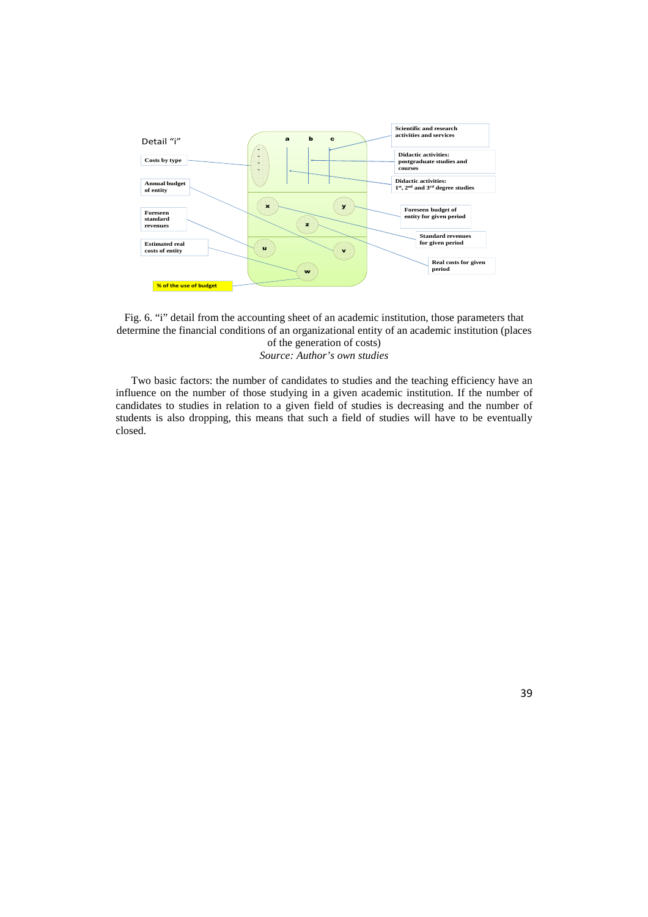



Two basic factors: the number of candidates to studies and the teaching efficiency have an influence on the number of those studying in a given academic institution. If the number of candidates to studies in relation to a given field of studies is decreasing and the number of students is also dropping, this means that such a field of studies will have to be eventually closed.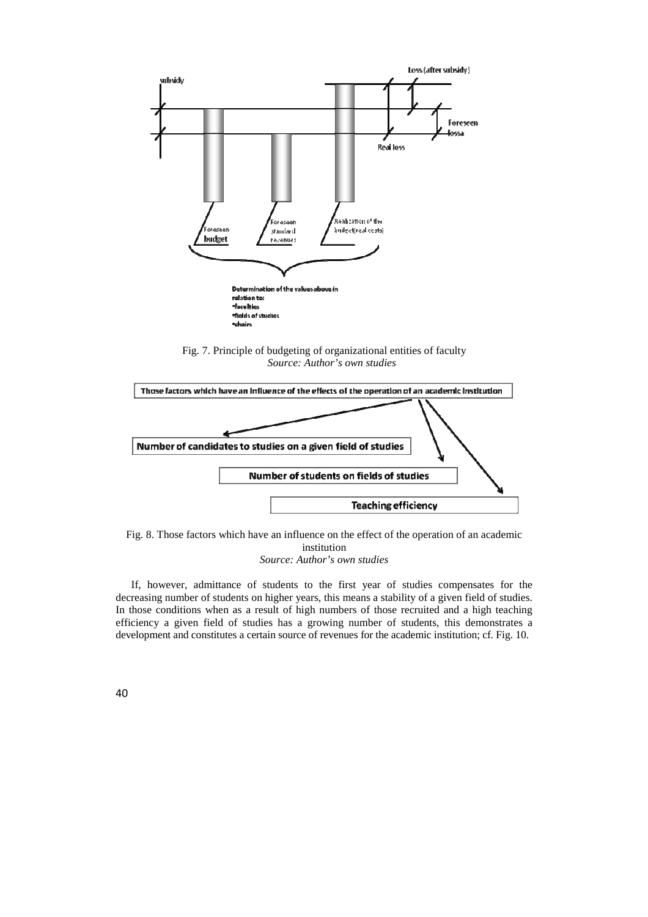

Fig. 7. Principle of budgeting of organizational entities of faculty *Source: Author's own studies* 



Fig. 8. Those factors which have an influence on the effect of the operation of an academic institution *Source: Author's own studies* 

If, however, admittance of students to the first year of studies compensates for the decreasing number of students on higher years, this means a stability of a given field of studies. In those conditions when as a result of high numbers of those recruited and a high teaching efficiency a given field of studies has a growing number of students, this demonstrates a development and constitutes a certain source of revenues for the academic institution; cf. Fig. 10.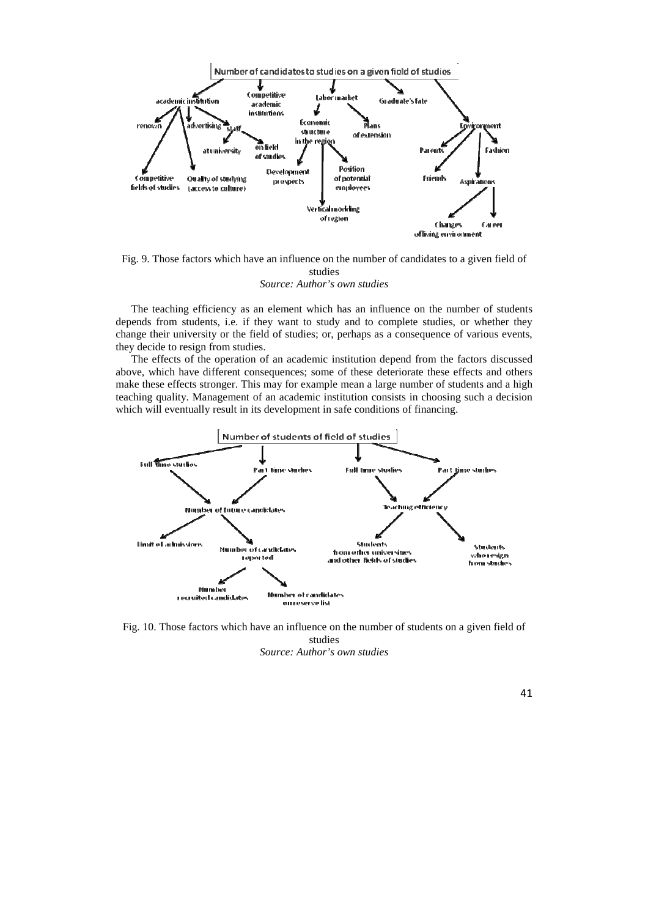

Fig. 9. Those factors which have an influence on the number of candidates to a given field of studies *Source: Author's own studies* 

The teaching efficiency as an element which has an influence on the number of students depends from students, i.e. if they want to study and to complete studies, or whether they change their university or the field of studies; or, perhaps as a consequence of various events, they decide to resign from studies.

The effects of the operation of an academic institution depend from the factors discussed above, which have different consequences; some of these deteriorate these effects and others make these effects stronger. This may for example mean a large number of students and a high teaching quality. Management of an academic institution consists in choosing such a decision which will eventually result in its development in safe conditions of financing.



Fig. 10. Those factors which have an influence on the number of students on a given field of studies

*Source: Author's own studies*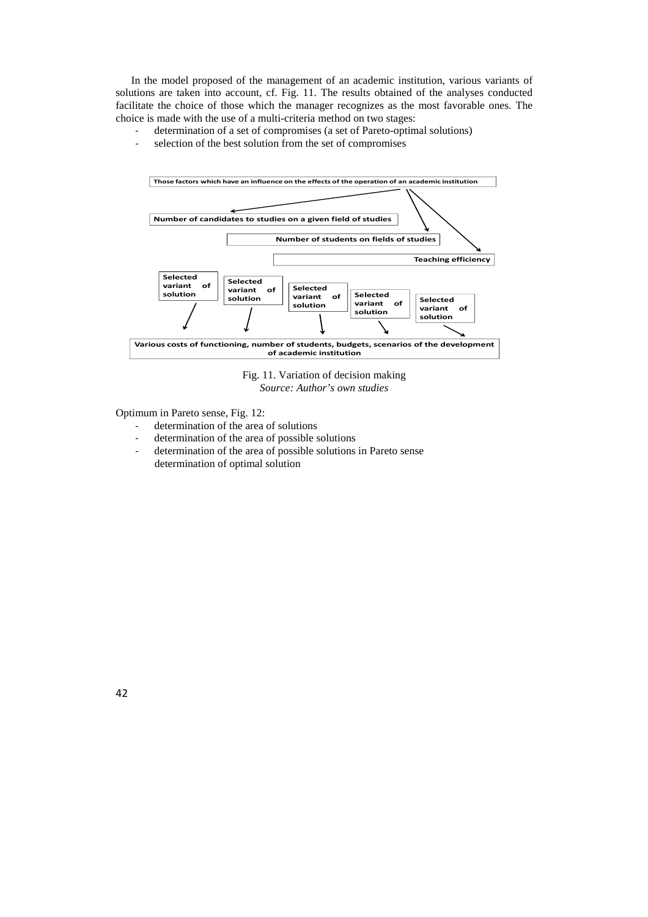In the model proposed of the management of an academic institution, various variants of solutions are taken into account, cf. Fig. 11. The results obtained of the analyses conducted facilitate the choice of those which the manager recognizes as the most favorable ones. The choice is made with the use of a multi-criteria method on two stages:

- determination of a set of compromises (a set of Pareto-optimal solutions)
- selection of the best solution from the set of compromises



Fig. 11. Variation of decision making *Source: Author's own studies* 

Optimum in Pareto sense, Fig. 12:

- determination of the area of solutions
- determination of the area of possible solutions
- determination of the area of possible solutions in Pareto sense determination of optimal solution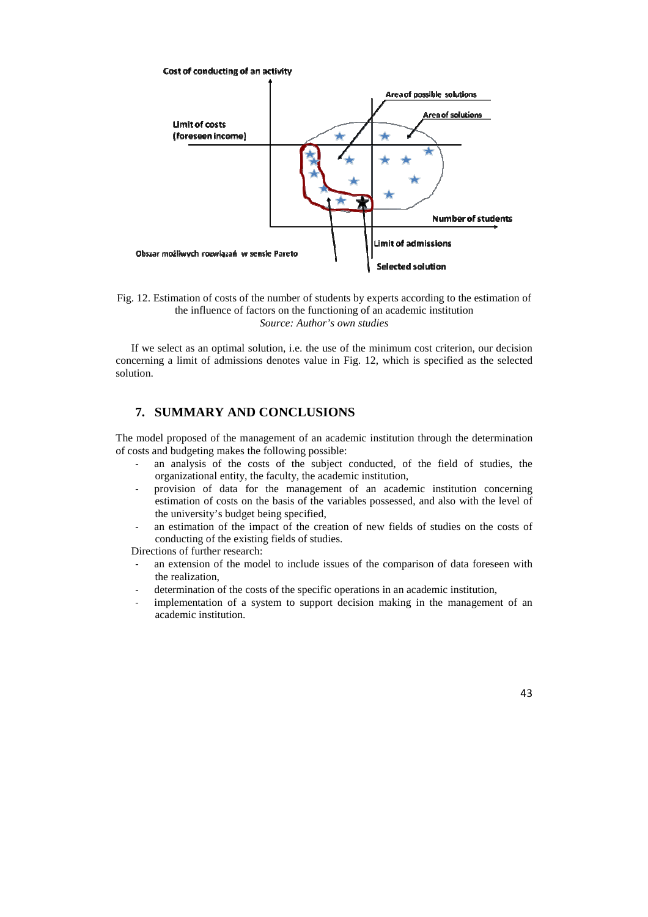

Fig. 12. Estimation of costs of the number of students by experts according to the estimation of the influence of factors on the functioning of an academic institution *Source: Author's own studies* 

If we select as an optimal solution, i.e. the use of the minimum cost criterion, our decision concerning a limit of admissions denotes value in Fig. 12, which is specified as the selected solution.

## **7. SUMMARY AND CONCLUSIONS**

The model proposed of the management of an academic institution through the determination of costs and budgeting makes the following possible:

- an analysis of the costs of the subject conducted, of the field of studies, the organizational entity, the faculty, the academic institution,
- provision of data for the management of an academic institution concerning estimation of costs on the basis of the variables possessed, and also with the level of the university's budget being specified,
- an estimation of the impact of the creation of new fields of studies on the costs of conducting of the existing fields of studies.

Directions of further research:

- an extension of the model to include issues of the comparison of data foreseen with the realization,
- determination of the costs of the specific operations in an academic institution,
- implementation of a system to support decision making in the management of an academic institution.